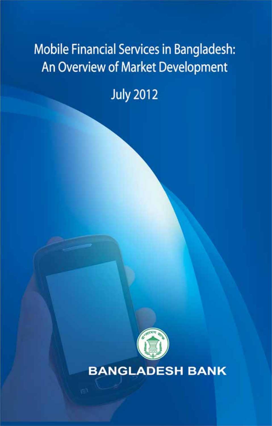# **Mobile Financial Services in Bangladesh:** An Overview of Market Development

**July 2012** 



**BANGLADESH BANK**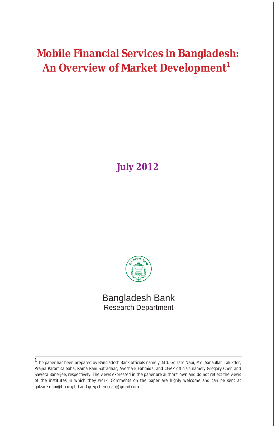## **Mobile Financial Services in Bangladesh: An Overview of Market Development<sup>1</sup>**

## **July 2012**



Bangladesh Bank Research Department

<sup>&</sup>lt;sup>1</sup>The paper has been prepared by Bangladesh Bank officials namely, Md. Golzare Nabi, Md. Sanaullah Talukder, Prajna Paramita Saha, Rama Rani Sutradhar, Ayesha-E-Fahmida, and CGAP officials namely Gregory Chen and Shweta Banerjee, respectively. The views expressed in the paper are authors' own and do not reflect the views of the institutes in which they work. Comments on the paper are highly welcome and can be sent at golzare.nabi@bb.org.bd and greg.chen.cgap@gmail.com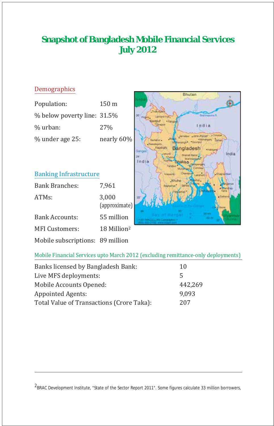## **Snapshot of Bangladesh Mobile Financial Services July 2012**

#### Demographics

| Population:                 | $150 \text{ m}$ |
|-----------------------------|-----------------|
| % below poverty line: 31.5% |                 |
| % urban:                    | 27 <sub>%</sub> |
| % under age 25:             | nearly 60%      |

#### Banking Infrastructure

| <b>Bank Branches:</b>            | 7,961                   |
|----------------------------------|-------------------------|
| ATMs:                            | 3,000<br>(approximate)  |
| Bank Accounts:                   | 55 million              |
| <b>MFI Customers:</b>            | 18 Million <sup>2</sup> |
| Mobile subscriptions: 89 million |                         |



#### Mobile Financial Services upto March 2012 (excluding remittance-only deployments)

| Banks licensed by Bangladesh Bank:        | 10      |
|-------------------------------------------|---------|
| Live MFS deployments:                     | 5       |
| Mobile Accounts Opened:                   | 442,269 |
| <b>Appointed Agents:</b>                  | 9,093   |
| Total Value of Transactions (Crore Taka): | 207     |

<sup>2</sup>BRAC Development Institute, "State of the Sector Report 2011". Some figures calculate 33 million borrowers,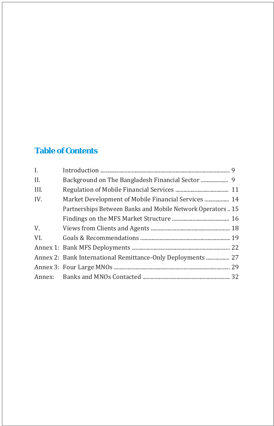## **Table of Contents**

| $\mathbf{I}$ . |                                                             |  |
|----------------|-------------------------------------------------------------|--|
| II.            |                                                             |  |
| III.           |                                                             |  |
| IV.            | Market Development of Mobile Financial Services  14         |  |
|                | Partnerships Between Banks and Mobile Network Operators 15  |  |
|                |                                                             |  |
| V.             |                                                             |  |
| VI.            |                                                             |  |
|                |                                                             |  |
|                | Annex 2: Bank International Remittance-Only Deployments  27 |  |
|                |                                                             |  |
|                |                                                             |  |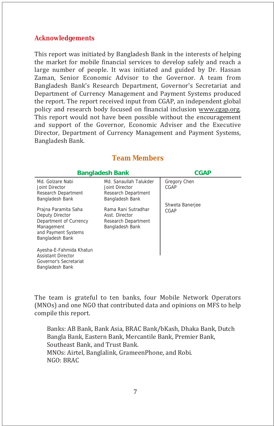#### **Acknowledgements**

This report was initiated by Bangladesh Bank in the interests of helping the market for mobile financial services to develop safely and reach a large number of people. It was initiated and guided by Dr. Hassan Zaman, Senior Economic Advisor to the Governor. A team from Bangladesh Bank's Research Department, Governor's Secretariat and Department of Currency Management and Payment Systems produced the report. The report received input from CGAP, an independent global policy and research body focused on financial inclusion www.cgap.org. This report would not have been possible without the encouragement and support of the Governor, Economic Adviser and the Executive Director, Department of Currency Management and Payment Systems, Bangladesh Bank.

| <b>Bangladesh Bank</b>                                                                                                    | <b>CGAP</b>                                                                        |                             |
|---------------------------------------------------------------------------------------------------------------------------|------------------------------------------------------------------------------------|-----------------------------|
| Md. Golzare Nabi<br>Joint Director<br>Research Department<br>Bangladesh Bank                                              | Md. Sanaullah Talukder<br>Joint Director<br>Research Department<br>Bangladesh Bank | <b>Gregory Chen</b><br>CGAP |
| Prajna Paramita Saha<br>Deputy Director<br>Department of Currency<br>Management<br>and Payment Systems<br>Bangladesh Bank | Rama Rani Sutradhar<br>Asst. Director<br>Research Department<br>Bangladesh Bank    | Shweta Banerjee<br>CGAP     |
| Ayesha-E-Fahmida Khatun<br><b>Assistant Director</b><br>Governor's Secretariat<br>Bangladesh Bank                         |                                                                                    |                             |

#### **Team Members**

The team is grateful to ten banks, four Mobile Network Operators (MNOs) and one NGO that contributed data and opinions on MFS to help compile this report.

 Banks: AB Bank, Bank Asia, BRAC Bank/bKash, Dhaka Bank, Dutch Bangla Bank, Eastern Bank, Mercantile Bank, Premier Bank, Southeast Bank, and Trust Bank. MNOs: Airtel, Banglalink, GrameenPhone, and Robi. NGO: BRAC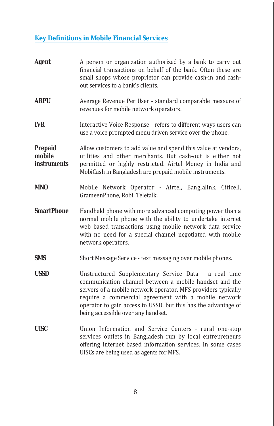## **Key Definitions in Mobile Financial Services**

| <b>Agent</b>                                   | A person or organization authorized by a bank to carry out<br>financial transactions on behalf of the bank. Often these are<br>small shops whose proprietor can provide cash-in and cash-<br>out services to a bank's clients.                                                                                                                   |  |  |  |
|------------------------------------------------|--------------------------------------------------------------------------------------------------------------------------------------------------------------------------------------------------------------------------------------------------------------------------------------------------------------------------------------------------|--|--|--|
| <b>ARPU</b>                                    | Average Revenue Per User - standard comparable measure of<br>revenues for mobile network operators.                                                                                                                                                                                                                                              |  |  |  |
| <b>IVR</b>                                     | Interactive Voice Response - refers to different ways users can<br>use a voice prompted menu driven service over the phone.                                                                                                                                                                                                                      |  |  |  |
| <b>Prepaid</b><br>mobile<br><b>instruments</b> | Allow customers to add value and spend this value at vendors,<br>utilities and other merchants. But cash-out is either not<br>permitted or highly restricted. Airtel Money in India and<br>MobiCash in Bangladesh are prepaid mobile instruments.                                                                                                |  |  |  |
| <b>MNO</b>                                     | Mobile Network Operator - Airtel, Banglalink, Citicell,<br>GrameenPhone, Robi, Teletalk.                                                                                                                                                                                                                                                         |  |  |  |
| <b>SmartPhone</b>                              | Handheld phone with more advanced computing power than a<br>normal mobile phone with the ability to undertake internet<br>web based transactions using mobile network data service<br>with no need for a special channel negotiated with mobile<br>network operators.                                                                            |  |  |  |
| <b>SMS</b>                                     | Short Message Service - text messaging over mobile phones.                                                                                                                                                                                                                                                                                       |  |  |  |
| <b>USSD</b>                                    | Unstructured Supplementary Service Data - a real time<br>communication channel between a mobile handset and the<br>servers of a mobile network operator. MFS providers typically<br>require a commercial agreement with a mobile network<br>operator to gain access to USSD, but this has the advantage of<br>being accessible over any handset. |  |  |  |
| <b>UISC</b>                                    | Union Information and Service Centers - rural one-stop<br>services outlets in Bangladesh run by local entrepreneurs<br>offering internet based information services. In some cases<br>UISCs are being used as agents for MFS.                                                                                                                    |  |  |  |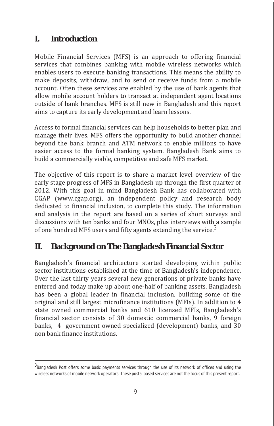### **I. Introduction**

Mobile Financial Services (MFS) is an approach to offering financial services that combines banking with mobile wireless networks which enables users to execute banking transactions. This means the ability to make deposits, withdraw, and to send or receive funds from a mobile account. Often these services are enabled by the use of bank agents that allow mobile account holders to transact at independent agent locations outside of bank branches. MFS is still new in Bangladesh and this report aims to capture its early development and learn lessons.

Access to formal financial services can help households to better plan and manage their lives. MFS offers the opportunity to build another channel beyond the bank branch and ATM network to enable millions to have easier access to the formal banking system. Bangladesh Bank aims to build a commercially viable, competitive and safe MFS market.

The objective of this report is to share a market level overview of the early stage progress of MFS in Bangladesh up through the first quarter of 2012. With this goal in mind Bangladesh Bank has collaborated with CGAP (www.cgap.org), an independent policy and research body dedicated to financial inclusion, to complete this study. The information and analysis in the report are based on a series of short surveys and discussions with ten banks and four MNOs, plus interviews with a sample of one hundred MFS users and fifty agents extending the service.<sup>3</sup>

## **II. Background on The Bangladesh Financial Sector**

Bangladesh's financial architecture started developing within public sector institutions established at the time of Bangladesh's independence. Over the last thirty years several new generations of private banks have entered and today make up about one-half of banking assets. Bangladesh has been a global leader in financial inclusion, building some of the original and still largest microfinance institutions (MFIs). In addition to 4 state owned commercial banks and 610 licensed MFIs, Bangladesh's financial sector consists of 30 domestic commercial banks, 9 foreign banks, 4 government-owned specialized (development) banks, and 30 non bank finance institutions.

<sup>3&</sup>lt;br>Bangladesh Post offers some basic payments services through the use of its network of offices and using the wireless networks of mobile network operators. These postal based services are not the focus of this present report.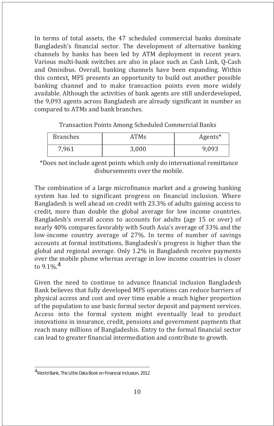In terms of total assets, the 47 scheduled commercial banks dominate Bangladesh's financial sector. The development of alternative banking channels by banks has been led by ATM deployment in recent years. Various multi-bank switches are also in place such as Cash Link, Q-Cash and Ominibus. Overall, banking channels have been expanding. Within this context, MFS presents an opportunity to build out another possible banking channel and to make transaction points even more widely available. Although the activities of bank agents are still underdeveloped, the 9,093 agents across Bangladesh are already significant in number as compared to ATMs and bank branches.

| <b>Branches</b> | ATMs  | Agents* |
|-----------------|-------|---------|
| 7,961           | 3,000 | 9,093   |

Transaction Points Among Scheduled Commercial Banks

\*Does not include agent points which only do international remittance disbursements over the mobile.

The combination of a large microfinance market and a growing banking system has led to significant progress on financial inclusion. Where Bangladesh is well ahead on credit with 23.3% of adults gaining access to credit, more than double the global average for low income countries. Bangladesh's overall access to accounts for adults (age 15 or over) of nearly 40% compares favorably with South Asia's average of 33% and the low-income country average of 27%. In terms of number of savings accounts at formal institutions, Bangladesh's progress is higher than the global and regional average. Only 1.2% in Bangladesh receive payments over the mobile phone whereas average in low income countries is closer to 9.1%. $^4$ 

Given the need to continue to advance financial inclusion Bangladesh Bank believes that fully developed MFS operations can reduce barriers of physical access and cost and over time enable a much higher proportion of the population to use basic formal sector deposit and payment services. Access into the formal system might eventually lead to product innovations in insurance, credit, pensions and government payments that reach many millions of Bangladeshis. Entry to the formal financial sector can lead to greater financial intermediation and contribute to growth.

<sup>4</sup> World Bank, The Little Data Book on Financial Inclusion, 2012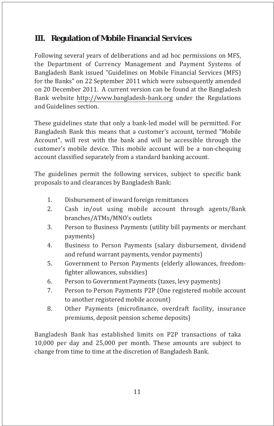## **III. Regulation of Mobile Financial Services**

Following several years of deliberations and ad hoc permissions on MFS, the Department of Currency Management and Payment Systems of Bangladesh Bank issued "Guidelines on Mobile Financial Services (MFS) for the Banks" on 22 September 2011 which were subsequently amended on 20 December 2011. A current version can be found at the Bangladesh Bank website http://www.bangladesh-bank.org under the Regulations and Guidelines section.

These guidelines state that only a bank-led model will be permitted. For Bangladesh Bank this means that a customer's account, termed "Mobile Account", will rest with the bank and will be accessible through the customer's mobile device. This mobile account will be a non-chequing account classified separately from a standard banking account.

The guidelines permit the following services, subject to specific bank proposals to and clearances by Bangladesh Bank:

- Disbursement of inward foreign remittances 1.
- Cash in/out using mobile account through agents/Bank branches/ATMs/MNO's outlets 2.
- Person to Business Payments (utility bill payments or merchant payments) 3.
- Business to Person Payments (salary disbursement, dividend and refund warrant payments, vendor payments) 4.
- Government to Person Payments (elderly allowances, freedomfighter allowances, subsidies) 5.
- Person to Government Payments (taxes, levy payments) 6.
- Person to Person Payments P2P (One registered mobile account to another registered mobile account) 7.
- Other Payments (microfinance, overdraft facility, insurance premiums, deposit pension scheme deposits) 8.

Bangladesh Bank has established limits on P2P transactions of taka 10,000 per day and 25,000 per month. These amounts are subject to change from time to time at the discretion of Bangladesh Bank.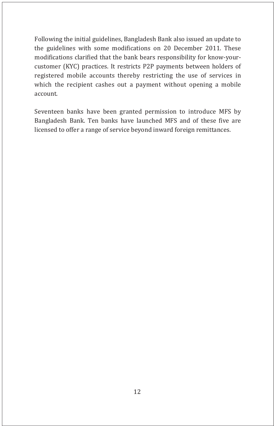Following the initial guidelines, Bangladesh Bank also issued an update to the guidelines with some modifications on 20 December 2011. These modifications clarified that the bank bears responsibility for know-yourcustomer (KYC) practices. It restricts P2P payments between holders of registered mobile accounts thereby restricting the use of services in which the recipient cashes out a payment without opening a mobile account.

Seventeen banks have been granted permission to introduce MFS by Bangladesh Bank. Ten banks have launched MFS and of these five are licensed to offer a range of service beyond inward foreign remittances.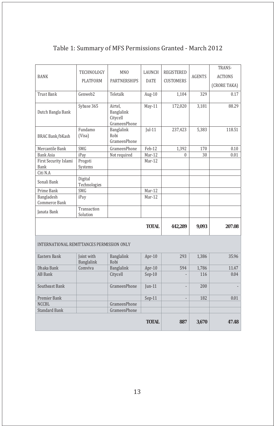|                                                  |                            |                                                        |                     |                   |                | TRANS-       |
|--------------------------------------------------|----------------------------|--------------------------------------------------------|---------------------|-------------------|----------------|--------------|
| <b>BANK</b>                                      | TECHNOLOGY                 | MN <sub>0</sub>                                        | LAUNCH              | <b>REGISTERED</b> |                |              |
|                                                  | <b>PLATFORM</b>            | <b>PARTNERSHIPS</b><br><b>CUSTOMERS</b><br><b>DATE</b> |                     | <b>AGENTS</b>     | <b>ACTIONS</b> |              |
|                                                  |                            |                                                        |                     |                   |                | (CRORE TAKA) |
| <b>Trust Bank</b>                                | Genweb2                    | Teletalk                                               | Aug-10              | 1,104             | 329            | 0.17         |
|                                                  |                            |                                                        |                     |                   |                |              |
|                                                  | Sybase 365                 | Airtel,                                                | May-11              | 172,020           | 3,181          | 88.29        |
| Dutch Bangla Bank                                |                            | Banglalink<br>Citycell                                 |                     |                   |                |              |
|                                                  |                            | GrameenPhone                                           |                     |                   |                |              |
|                                                  | Fundamo                    | Banglalink                                             | $Jul-11$            | 237,423           | 5,383          | 118.51       |
| <b>BRAC Bank/bKash</b>                           | (Visa)                     | Robi                                                   |                     |                   |                |              |
|                                                  |                            | GrameenPhone                                           |                     |                   |                |              |
| Mercantile Bank                                  | SMG                        | <b>GrameenPhone</b>                                    | Feb-12              | 1,392             | 170            | 0.10         |
| <b>Bank Asia</b>                                 | iPay                       | Not required                                           | $\overline{Mar-12}$ | $\theta$          | 30             | 0.01         |
| First Security Islami                            | Progoti                    |                                                        | Mar-12              |                   |                |              |
| Bank                                             | Systems                    |                                                        |                     |                   |                |              |
| Citi N.A                                         |                            |                                                        |                     |                   |                |              |
| Sonali Bank                                      | Digital                    |                                                        |                     |                   |                |              |
| Prime Bank                                       | Technologies<br><b>SMG</b> |                                                        | Mar-12              |                   |                |              |
| Bangladesh                                       | iPay                       |                                                        | Mar-12              |                   |                |              |
| Commerce Bank                                    |                            |                                                        |                     |                   |                |              |
|                                                  | Transaction                |                                                        |                     |                   |                |              |
| Janata Bank                                      | Solution                   |                                                        |                     |                   |                |              |
|                                                  |                            |                                                        |                     |                   |                |              |
|                                                  |                            |                                                        | <b>TOTAL</b>        | 442,289           | 9,093          | 207.08       |
|                                                  |                            |                                                        |                     |                   |                |              |
| <b>INTERNATIONAL REMITTANCES PERMISSION ONLY</b> |                            |                                                        |                     |                   |                |              |
|                                                  |                            |                                                        |                     |                   |                |              |
| Eastern Bank                                     | Joint with                 | Banglalink                                             | Apr-10              | 293               | 1,386          | 35.96        |
|                                                  | Banglalink                 | Robi                                                   |                     |                   |                |              |
| Dhaka Bank                                       | Comviva                    | Banglalink                                             | Apr-10              | 594               | 1,786          | 11.47        |
| <b>AB</b> Bank                                   |                            | Citycell                                               | $Sep-10$            |                   | 116            | 0.04         |
| Southeast Bank                                   |                            | <b>GrameenPhone</b>                                    | $[un-11]$           |                   | 200            |              |
|                                                  |                            |                                                        |                     |                   |                |              |
| Premier Bank                                     |                            |                                                        | $Sep-11$            |                   | 182            | 0.01         |
| <b>NCCBL</b>                                     |                            | <b>GrameenPhone</b>                                    |                     |                   |                |              |
| <b>Standard Bank</b>                             |                            | <b>GrameenPhone</b>                                    |                     |                   |                |              |
|                                                  |                            |                                                        |                     |                   |                |              |
|                                                  |                            |                                                        | <b>TOTAL</b>        | 887               | 3,670          | 47.48        |
|                                                  |                            |                                                        |                     |                   |                |              |

### Table 1: Summary of MFS Permissions Granted - March 2012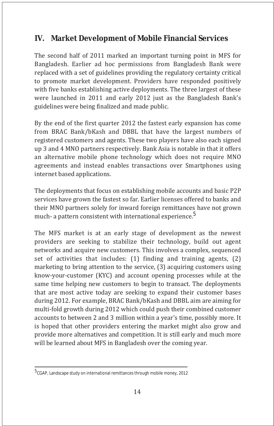### **IV. Market Development of Mobile Financial Services**

The second half of 2011 marked an important turning point in MFS for Bangladesh. Earlier ad hoc permissions from Bangladesh Bank were replaced with a set of guidelines providing the regulatory certainty critical to promote market development. Providers have responded positively with five banks establishing active deployments. The three largest of these were launched in 2011 and early 2012 just as the Bangladesh Bank's guidelines were being finalized and made public.

By the end of the first quarter 2012 the fastest early expansion has come from BRAC Bank/bKash and DBBL that have the largest numbers of registered customers and agents. These two players have also each signed up 3 and 4 MNO partners respectively. Bank Asia is notable in that it offers an alternative mobile phone technology which does not require MNO agreements and instead enables transactions over Smartphones using internet based applications.

The deployments that focus on establishing mobile accounts and basic P2P services have grown the fastest so far. Earlier licenses offered to banks and their MNO partners solely for inward foreign remittances have not grown much- a pattern consistent with international experience.<sup>5</sup>

The MFS market is at an early stage of development as the newest providers are seeking to stabilize their technology, build out agent networks and acquire new customers. This involves a complex, sequenced set of activities that includes: (1) finding and training agents, (2) marketing to bring attention to the service, (3) acquiring customers using know-your-customer (KYC) and account opening processes while at the same time helping new customers to begin to transact. The deployments that are most active today are seeking to expand their customer bases during 2012. For example, BRAC Bank/bKash and DBBL aim are aiming for multi-fold growth during 2012 which could push their combined customer accounts to between 2 and 3 million within a year's time, possibly more. It is hoped that other providers entering the market might also grow and provide more alternatives and competition. It is still early and much more will be learned about MFS in Bangladesh over the coming year.

<sup>5</sup> CGAP, Landscape study on international remittances through mobile money, 2012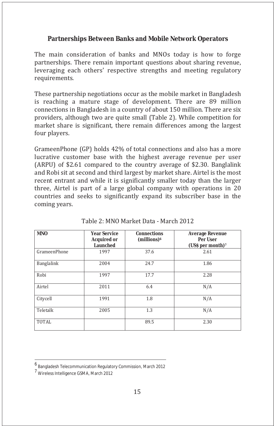#### **Partnerships Between Banks and Mobile Network Operators**

The main consideration of banks and MNOs today is how to forge partnerships. There remain important questions about sharing revenue, leveraging each others' respective strengths and meeting regulatory requirements.

These partnership negotiations occur as the mobile market in Bangladesh is reaching a mature stage of development. There are 89 million connections in Bangladesh in a country of about 150 million. There are six providers, although two are quite small (Table 2). While competition for market share is significant, there remain differences among the largest four players.

GrameenPhone (GP) holds 42% of total connections and also has a more lucrative customer base with the highest average revenue per user (ARPU) of \$2.61 compared to the country average of \$2.30. Banglalink and Robi sit at second and third largest by market share. Airtel is the most recent entrant and while it is significantly smaller today than the larger three, Airtel is part of a large global company with operations in 20 countries and seeks to significantly expand its subscriber base in the coming years.

| <b>MNO</b>   | <b>Year Service</b><br><b>Acquired or</b><br><b>Launched</b> | <b>Connections</b><br>$(millions)^6$ | <b>Average Revenue</b><br>Per User<br>(USS per month) <sup>7</sup> |
|--------------|--------------------------------------------------------------|--------------------------------------|--------------------------------------------------------------------|
| GrameenPhone | 1997                                                         | 37.6                                 | 2.61                                                               |
| Banglalink   | 2004                                                         | 24.7                                 | 1.86                                                               |
| Robi         | 1997                                                         | 17.7                                 | 2.28                                                               |
| Airtel       | 2011                                                         | 6.4                                  | N/A                                                                |
| Citycell     | 1991                                                         | 1.8                                  | N/A                                                                |
| Teletalk     | 2005                                                         | 1.3                                  | N/A                                                                |
| <b>TOTAL</b> |                                                              | 89.5                                 | 2.30                                                               |

Table 2: MNO Market Data - March 2012

<sup>6</sup> Bangladesh Telecommunication Regulatory Commission, March 2012

<sup>7</sup> Wireless Intelligence GSMA, March 2012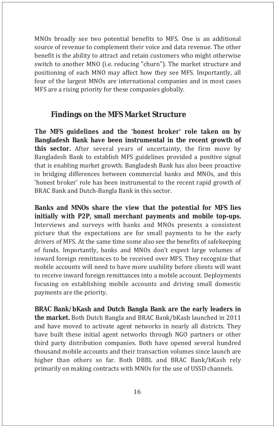MNOs broadly see two potential benefits to MFS. One is an additional source of revenue to complement their voice and data revenue. The other benefit is the ability to attract and retain customers who might otherwise switch to another MNO (i.e. reducing "churn"). The market structure and positioning of each MNO may affect how they see MFS. Importantly, all four of the largest MNOs are international companies and in most cases MFS are a rising priority for these companies globally.

#### **Findings on the MFS Market Structure**

**The MFS guidelines and the 'honest broker' role taken on by Bangladesh Bank have been instrumental in the recent growth of this sector.** After several years of uncertainty, the firm move by Bangladesh Bank to establish MFS guidelines provided a positive signal that is enabling market growth. Bangladesh Bank has also been proactive in bridging differences between commercial banks and MNOs, and this 'honest broker' role has been instrumental to the recent rapid growth of BRAC Bank and Dutch-Bangla Bank in this sector.

**Banks and MNOs share the view that the potential for MFS lies initially with P2P, small merchant payments and mobile top-ups.** Interviews and surveys with banks and MNOs presents a consistent picture that the expectations are for small payments to be the early drivers of MFS. At the same time some also see the benefits of safekeeping of funds. Importantly, banks and MNOs don't expect large volumes of inward foreign remittances to be received over MFS. They recognize that mobile accounts will need to have more usability before clients will want to receive inward foreign remittances into a mobile account. Deployments focusing on establishing mobile accounts and driving small domestic payments are the priority.

**BRAC Bank/bKash and Dutch Bangla Bank are the early leaders in the market.** Both Dutch Bangla and BRAC Bank/bKash launched in 2011 and have moved to activate agent networks in nearly all districts. They have built these initial agent networks through NGO partners or other third party distribution companies. Both have opened several hundred thousand mobile accounts and their transaction volumes since launch are higher than others so far. Both DBBL and BRAC Bank/bKash rely primarily on making contracts with MNOs for the use of USSD channels.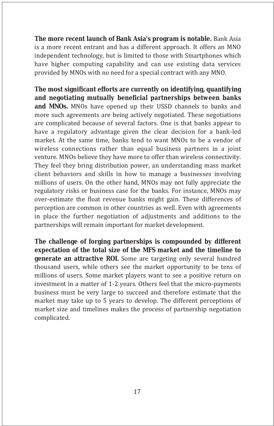**The more recent launch of Bank Asia's program is notable.** Bank Asia is a more recent entrant and has a different approach. It offers an MNO independent technology, but is limited to those with Smartphones which have higher computing capability and can use existing data services provided by MNOs with no need for a special contract with any MNO.

**The most significant efforts are currently on identifying, quantifying and negotiating mutually beneficial partnerships between banks and MNOs.** MNOs have opened up their USSD channels to banks and more such agreements are being actively negotiated. These negotiations are complicated because of several factors. One is that banks appear to have a regulatory advantage given the clear decision for a bank-led market. At the same time, banks tend to want MNOs to be a vendor of wireless connections rather than equal business partners in a joint venture. MNOs believe they have more to offer than wireless connectivity. They feel they bring distribution power, an understanding mass market client behaviors and skills in how to manage a businesses involving millions of users. On the other hand, MNOs may not fully appreciate the regulatory risks or business case for the banks. For instance, MNOs may over-estimate the float revenue banks might gain. These differences of perception are common in other countries as well. Even with agreements in place the further negotiation of adjustments and additions to the partnerships will remain important for market development.

**The challenge of forging partnerships is compounded by different expectation of the total size of the MFS market and the timeline to generate an attractive ROI.** Some are targeting only several hundred thousand users, while others see the market opportunity to be tens of millions of users. Some market players want to see a positive return on investment in a matter of 1-2 years. Others feel that the micro-payments business must be very large to succeed and therefore estimate that the market may take up to 5 years to develop. The different perceptions of market size and timelines makes the process of partnership negotiation complicated.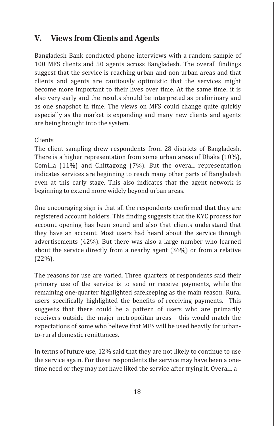#### **V. Views from Clients and Agents**

Bangladesh Bank conducted phone interviews with a random sample of 100 MFS clients and 50 agents across Bangladesh. The overall findings suggest that the service is reaching urban and non-urban areas and that clients and agents are cautiously optimistic that the services might become more important to their lives over time. At the same time, it is also very early and the results should be interpreted as preliminary and as one snapshot in time. The views on MFS could change quite quickly especially as the market is expanding and many new clients and agents are being brought into the system.

#### Clients

The client sampling drew respondents from 28 districts of Bangladesh. There is a higher representation from some urban areas of Dhaka (10%), Comilla (11%) and Chittagong (7%). But the overall representation indicates services are beginning to reach many other parts of Bangladesh even at this early stage. This also indicates that the agent network is beginning to extend more widely beyond urban areas.

One encouraging sign is that all the respondents confirmed that they are registered account holders. This finding suggests that the KYC process for account opening has been sound and also that clients understand that they have an account. Most users had heard about the service through advertisements (42%). But there was also a large number who learned about the service directly from a nearby agent (36%) or from a relative (22%).

The reasons for use are varied. Three quarters of respondents said their primary use of the service is to send or receive payments, while the remaining one-quarter highlighted safekeeping as the main reason. Rural users specifically highlighted the benefits of receiving payments. This suggests that there could be a pattern of users who are primarily receivers outside the major metropolitan areas - this would match the expectations of some who believe that MFS will be used heavily for urbanto-rural domestic remittances.

In terms of future use, 12% said that they are not likely to continue to use the service again. For these respondents the service may have been a onetime need or they may not have liked the service after trying it. Overall, a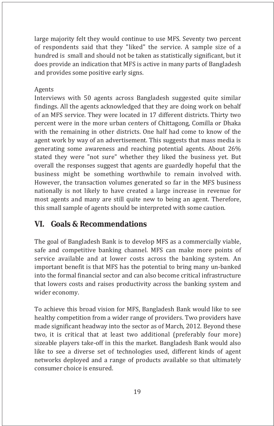large majority felt they would continue to use MFS. Seventy two percent of respondents said that they "liked" the service. A sample size of a hundred is small and should not be taken as statistically significant, but it does provide an indication that MFS is active in many parts of Bangladesh and provides some positive early signs.

#### Agents

Interviews with 50 agents across Bangladesh suggested quite similar findings. All the agents acknowledged that they are doing work on behalf of an MFS service. They were located in 17 different districts. Thirty two percent were in the more urban centers of Chittagong, Comilla or Dhaka with the remaining in other districts. One half had come to know of the agent work by way of an advertisement. This suggests that mass media is generating some awareness and reaching potential agents. About 26% stated they were "not sure" whether they liked the business yet. But overall the responses suggest that agents are guardedly hopeful that the business might be something worthwhile to remain involved with. However, the transaction volumes generated so far in the MFS business nationally is not likely to have created a large increase in revenue for most agents and many are still quite new to being an agent. Therefore, this small sample of agents should be interpreted with some caution.

## **VI. Goals & Recommendations**

The goal of Bangladesh Bank is to develop MFS as a commercially viable, safe and competitive banking channel. MFS can make more points of service available and at lower costs across the banking system. An important benefit is that MFS has the potential to bring many un-banked into the formal financial sector and can also become critical infrastructure that lowers costs and raises productivity across the banking system and wider economy.

To achieve this broad vision for MFS, Bangladesh Bank would like to see healthy competition from a wider range of providers. Two providers have made significant headway into the sector as of March, 2012. Beyond these two, it is critical that at least two additional (preferably four more) sizeable players take-off in this the market. Bangladesh Bank would also like to see a diverse set of technologies used, different kinds of agent networks deployed and a range of products available so that ultimately consumer choice is ensured.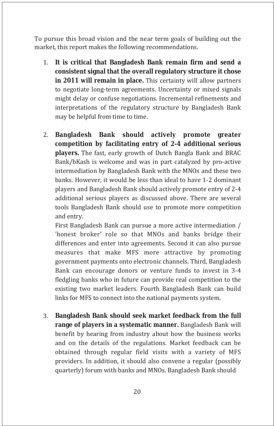To pursue this broad vision and the near term goals of building out the market, this report makes the following recommendations.

- 1. **It is critical that Bangladesh Bank remain firm and send a consistent signal that the overall regulatory structure it chose in 2011 will remain in place.** This certainty will allow partners to negotiate long-term agreements. Uncertainty or mixed signals might delay or confuse negotiations. Incremental refinements and interpretations of the regulatory structure by Bangladesh Bank may be helpful from time to time.
- 2. **Bangladesh Bank should actively promote greater competition by facilitating entry of 2-4 additional serious players.** The fast, early growth of Dutch Bangla Bank and BRAC Bank/bKash is welcome and was in part catalyzed by pro-active intermediation by Bangladesh Bank with the MNOs and these two banks. However, it would be less than ideal to have 1-2 dominant players and Bangladesh Bank should actively promote entry of 2-4 additional serious players as discussed above. There are several tools Bangladesh Bank should use to promote more competition and entry.

First Bangladesh Bank can pursue a more active intermediation / 'honest broker' role so that MNOs and banks bridge their differences and enter into agreements. Second it can also pursue measures that make MFS more attractive by promoting government payments onto electronic channels. Third, Bangladesh Bank can encourage donors or venture funds to invest in 3-4 fledgling banks who in future can provide real competition to the existing two market leaders. Fourth Bangladesh Bank can build links for MFS to connect into the national payments system.

3. **Bangladesh Bank should seek market feedback from the full range of players in a systematic manner.** Bangladesh Bank will benefit by hearing from industry about how the business works and on the details of the regulations. Market feedback can be obtained through regular field visits with a variety of MFS providers. In addition, it should also convene a regular (possibly quarterly) forum with banks and MNOs. Bangladesh Bank should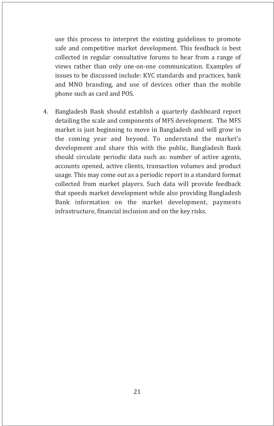use this process to interpret the existing guidelines to promote safe and competitive market development. This feedback is best collected in regular consultative forums to hear from a range of views rather than only one-on-one communication. Examples of issues to be discussed include: KYC standards and practices, bank and MNO branding, and use of devices other than the mobile phone such as card and POS.

4. Bangladesh Bank should establish a quarterly dashboard report detailing the scale and components of MFS development. The MFS market is just beginning to move in Bangladesh and will grow in the coming year and beyond. To understand the market's development and share this with the public, Bangladesh Bank should circulate periodic data such as: number of active agents, accounts opened, active clients, transaction volumes and product usage. This may come out as a periodic report in a standard format collected from market players. Such data will provide feedback that speeds market development while also providing Bangladesh Bank information on the market development, payments infrastructure, financial inclusion and on the key risks.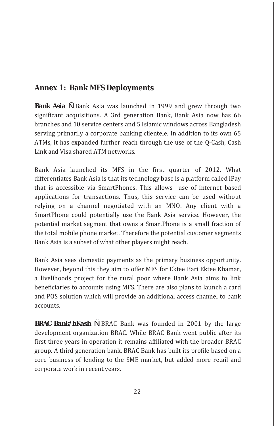## **Annex 1: Bank MFS Deployments**

*Bank Asia* Ñ Bank Asia was launched in 1999 and grew through two significant acquisitions. A 3rd generation Bank, Bank Asia now has 66 branches and 10 service centers and 5 Islamic windows across Bangladesh serving primarily a corporate banking clientele. In addition to its own 65 ATMs, it has expanded further reach through the use of the Q-Cash, Cash Link and Visa shared ATM networks.

Bank Asia launched its MFS in the first quarter of 2012. What differentiates Bank Asia is that its technology base is a platform called iPay that is accessible via SmartPhones. This allows use of internet based applications for transactions. Thus, this service can be used without relying on a channel negotiated with an MNO. Any client with a SmartPhone could potentially use the Bank Asia service. However, the potential market segment that owns a SmartPhone is a small fraction of the total mobile phone market. Therefore the potential customer segments Bank Asia is a subset of what other players might reach.

Bank Asia sees domestic payments as the primary business opportunity. However, beyond this they aim to offer MFS for Ektee Bari Ektee Khamar, a livelihoods project for the rural poor where Bank Asia aims to link beneficiaries to accounts using MFS. There are also plans to launch a card and POS solution which will provide an additional access channel to bank accounts.

*BRAC Bank/bKash* Ñ BRAC Bank was founded in 2001 by the large development organization BRAC. While BRAC Bank went public after its first three years in operation it remains affiliated with the broader BRAC group. A third generation bank, BRAC Bank has built its profile based on a core business of lending to the SME market, but added more retail and corporate work in recent years.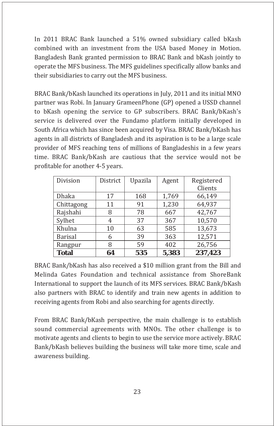In 2011 BRAC Bank launched a 51% owned subsidiary called bKash combined with an investment from the USA based Money in Motion. Bangladesh Bank granted permission to BRAC Bank and bKash jointly to operate the MFS business. The MFS guidelines specifically allow banks and their subsidiaries to carry out the MFS business.

BRAC Bank/bKash launched its operations in July, 2011 and its initial MNO partner was Robi. In January GrameenPhone (GP) opened a USSD channel to bKash opening the service to GP subscribers. BRAC Bank/bKash's service is delivered over the Fundamo platform initially developed in South Africa which has since been acquired by Visa. BRAC Bank/bKash has agents in all districts of Bangladesh and its aspiration is to be a large scale provider of MFS reaching tens of millions of Bangladeshis in a few years time. BRAC Bank/bKash are cautious that the service would not be profitable for another 4-5 years.

| Division       | District | Upazila | Agent | Registered |
|----------------|----------|---------|-------|------------|
|                |          |         |       | Clients    |
| <b>Dhaka</b>   | 17       | 168     | 1,769 | 66,149     |
| Chittagong     | 11       | 91      | 1,230 | 64,937     |
| Rajshahi       | 8        | 78      | 667   | 42,767     |
| Sylhet         | 4        | 37      | 367   | 10,570     |
| Khulna         | 10       | 63      | 585   | 13,673     |
| <b>Barisal</b> | 6        | 39      | 363   | 12,571     |
| Rangpur        | 8        | 59      | 402   | 26,756     |
| <b>Total</b>   | 64       | 535     | 5,383 | 237,423    |

BRAC Bank/bKash has also received a \$10 million grant from the Bill and Melinda Gates Foundation and technical assistance from ShoreBank International to support the launch of its MFS services. BRAC Bank/bKash also partners with BRAC to identify and train new agents in addition to receiving agents from Robi and also searching for agents directly.

From BRAC Bank/bKash perspective, the main challenge is to establish sound commercial agreements with MNOs. The other challenge is to motivate agents and clients to begin to use the service more actively. BRAC Bank/bKash believes building the business will take more time, scale and awareness building.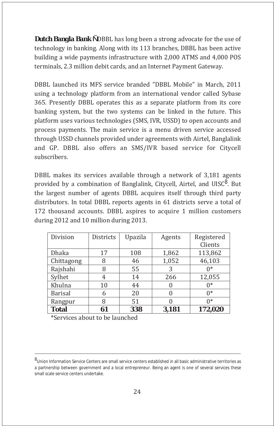*Dutch Bangla Bank* Ñ DBBL has long been a strong advocate for the use of technology in banking. Along with its 113 branches, DBBL has been active building a wide payments infrastructure with 2,000 ATMS and 4,000 POS terminals, 2.3 million debit cards, and an Internet Payment Gateway.

DBBL launched its MFS service branded "DBBL Mobile" in March, 2011 using a technology platform from an international vendor called Sybase 365. Presently DBBL operates this as a separate platform from its core banking system, but the two systems can be linked in the future. This platform uses various technologies (SMS, IVR, USSD) to open accounts and process payments. The main service is a menu driven service accessed through USSD channels provided under agreements with Airtel, Banglalink and GP. DBBL also offers an SMS/IVR based service for Citycell subscribers.

DBBL makes its services available through a network of 3,181 agents provided by a combination of Banglalink, Citycell, Airtel, and UISC<sup>8</sup>. But the largest number of agents DBBL acquires itself through third party distributors. In total DBBL reports agents in 61 districts serve a total of 172 thousand accounts. DBBL aspires to acquire 1 million customers during 2012 and 10 million during 2013.

| Division       | <b>Districts</b> | Upazila | Agents   | Registered |
|----------------|------------------|---------|----------|------------|
|                |                  |         |          | Clients    |
| Dhaka          | 17               | 108     | 1,862    | 113,862    |
| Chittagong     | 8                | 46      | 1,052    | 46,103     |
| Rajshahi       | 8                | 55      | 3        | $0*$       |
| Sylhet         | 4                | 14      | 266      | 12,055     |
| Khulna         | 10               | 44      | $\theta$ | $0*$       |
| <b>Barisal</b> | 6                | 20      |          | $0*$       |
| Rangpur        | 8                | 51      |          | $0*$       |
| <b>Total</b>   | 61               | 338     | 3,181    | 172,020    |

\*Services about to be launched

<sup>8&</sup>lt;br>Union Information Service Centers are small service centers established in all basic administrative territories as a partnership between government and a local entrepreneur. Being an agent is one of several services these small scale service centers undertake.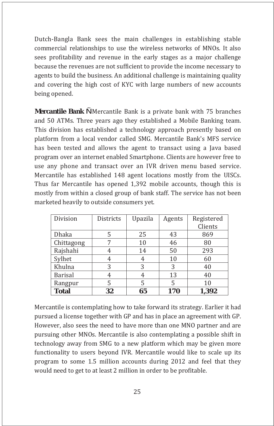Dutch-Bangla Bank sees the main challenges in establishing stable commercial relationships to use the wireless networks of MNOs. It also sees profitability and revenue in the early stages as a major challenge because the revenues are not sufficient to provide the income necessary to agents to build the business. An additional challenge is maintaining quality and covering the high cost of KYC with large numbers of new accounts being opened.

*Mercantile Bank* Ñ Mercantile Bank is a private bank with 75 branches and 50 ATMs. Three years ago they established a Mobile Banking team. This division has established a technology approach presently based on platform from a local vendor called SMG. Mercantile Bank's MFS service has been tested and allows the agent to transact using a Java based program over an internet enabled Smartphone. Clients are however free to use any phone and transact over an IVR driven menu based service. Mercantile has established 148 agent locations mostly from the UISCs. Thus far Mercantile has opened 1,392 mobile accounts, though this is mostly from within a closed group of bank staff. The service has not been marketed heavily to outside consumers yet.

| Division       | <b>Districts</b> | Upazila | Agents | Registered<br>Clients |
|----------------|------------------|---------|--------|-----------------------|
| <b>Dhaka</b>   | 5                | 25      | 43     | 869                   |
| Chittagong     |                  | 10      | 46     | 80                    |
| Rajshahi       |                  | 14      | 50     | 293                   |
| Sylhet         |                  | 4       | 10     | 60                    |
| Khulna         | 3                | 3       | 3      | 40                    |
| <b>Barisal</b> |                  | 4       | 13     | 40                    |
| Rangpur        | 5                | 5       | 5      | 10                    |
| <b>Total</b>   | 32               | 65      | 170    | 1,392                 |

Mercantile is contemplating how to take forward its strategy. Earlier it had pursued a license together with GP and has in place an agreement with GP. However, also sees the need to have more than one MNO partner and are pursuing other MNOs. Mercantile is also contemplating a possible shift in technology away from SMG to a new platform which may be given more functionality to users beyond IVR. Mercantile would like to scale up its program to some 1.5 million accounts during 2012 and feel that they would need to get to at least 2 million in order to be profitable.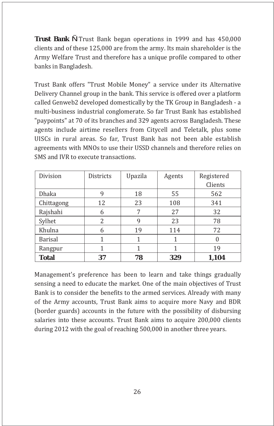*Trust Bank* Ñ Trust Bank began operations in 1999 and has 450,000 clients and of these 125,000 are from the army. Its main shareholder is the Army Welfare Trust and therefore has a unique profile compared to other banks in Bangladesh.

Trust Bank offers "Trust Mobile Money" a service under its Alternative Delivery Channel group in the bank. This service is offered over a platform called Genweb2 developed domestically by the TK Group in Bangladesh - a multi-business industrial conglomerate. So far Trust Bank has established "paypoints" at 70 of its branches and 329 agents across Bangladesh. These agents include airtime resellers from Citycell and Teletalk, plus some UISCs in rural areas. So far, Trust Bank has not been able establish agreements with MNOs to use their USSD channels and therefore relies on SMS and IVR to execute transactions.

| Division       | <b>Districts</b> | Upazila | Agents | Registered |
|----------------|------------------|---------|--------|------------|
|                |                  |         |        | Clients    |
| <b>Dhaka</b>   | 9                | 18      | 55     | 562        |
| Chittagong     | 12               | 23      | 108    | 341        |
| Rajshahi       | 6                |         | 27     | 32         |
| Sylhet         | 2                | 9       | 23     | 78         |
| Khulna         | 6                | 19      | 114    | 72         |
| <b>Barisal</b> | 1                |         |        |            |
| Rangpur        |                  |         |        | 19         |
| <b>Total</b>   | 37               | 78      | 329    | 1,104      |

Management's preference has been to learn and take things gradually sensing a need to educate the market. One of the main objectives of Trust Bank is to consider the benefits to the armed services. Already with many of the Army accounts, Trust Bank aims to acquire more Navy and BDR (border guards) accounts in the future with the possibility of disbursing salaries into these accounts. Trust Bank aims to acquire 200,000 clients during 2012 with the goal of reaching 500,000 in another three years.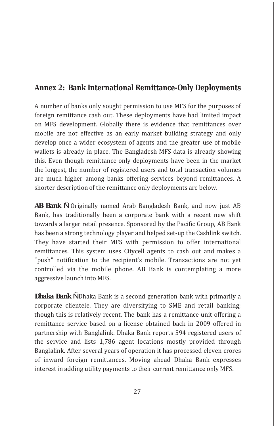#### **Annex 2: Bank International Remittance-Only Deployments**

A number of banks only sought permission to use MFS for the purposes of foreign remittance cash out. These deployments have had limited impact on MFS development. Globally there is evidence that remittances over mobile are not effective as an early market building strategy and only develop once a wider ecosystem of agents and the greater use of mobile wallets is already in place. The Bangladesh MFS data is already showing this. Even though remittance-only deployments have been in the market the longest, the number of registered users and total transaction volumes are much higher among banks offering services beyond remittances. A shorter description of the remittance only deployments are below.

*AB Bank* Ñ Originally named Arab Bangladesh Bank, and now just AB Bank, has traditionally been a corporate bank with a recent new shift towards a larger retail presence. Sponsored by the Pacific Group, AB Bank has been a strong technology player and helped set-up the Cashlink switch. They have started their MFS with permission to offer international remittances. This system uses Citycell agents to cash out and makes a "push" notification to the recipient's mobile. Transactions are not yet controlled via the mobile phone. AB Bank is contemplating a more aggressive launch into MFS.

*Dhaka Bank* Ñ Dhaka Bank is a second generation bank with primarily a corporate clientele. They are diversifying to SME and retail banking; though this is relatively recent. The bank has a remittance unit offering a remittance service based on a license obtained back in 2009 offered in partnership with Banglalink. Dhaka Bank reports 594 registered users of the service and lists 1,786 agent locations mostly provided through Banglalink. After several years of operation it has processed eleven crores of inward foreign remittances. Moving ahead Dhaka Bank expresses interest in adding utility payments to their current remittance only MFS.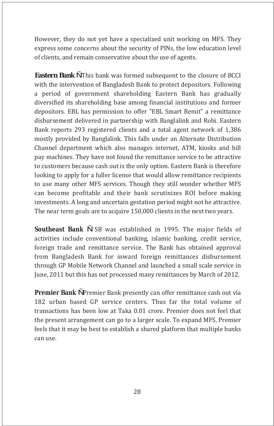However, they do not yet have a specialized unit working on MFS. They express some concerns about the security of PINs, the low education level of clients, and remain conservative about the use of agents.

*Eastern Bank* Ñ This bank was formed subsequent to the closure of BCCI with the intervention of Bangladesh Bank to protect depositors. Following a period of government shareholding Eastern Bank has gradually diversified its shareholding base among financial institutions and former depositors. EBL has permission to offer "EBL Smart Remit" a remittance disbursement delivered in partnership with Banglalink and Robi. Eastern Bank reports 293 registered clients and a total agent network of 1,386 mostly provided by Banglalink. This falls under an Alternate Distribution Channel department which also manages internet, ATM, kiosks and bill pay machines. They have not found the remittance service to be attractive to customers because cash out is the only option. Eastern Bank is therefore looking to apply for a fuller license that would allow remittance recipients to use many other MFS services. Though they still wonder whether MFS can become profitable and their bank scrutinizes ROI before making investments. A long and uncertain gestation period might not be attractive. The near term goals are to acquire 150,000 clients in the next two years.

**Southeast Bank** Ñ SB was established in 1995. The major fields of activities include conventional banking, islamic banking, credit service, foreign trade and remittance service. The Bank has obtained approval from Bangladesh Bank for inward foreign remittances disbursement through GP Mobile Network Channel and launched a small scale service in June, 2011 but this has not processed many remittances by March of 2012.

**Premier Bank N** Premier Bank presently can offer remittance cash out via 182 urban based GP service centers. Thus far the total volume of transactions has been low at Taka 0.01 crore. Premier does not feel that the present arrangement can go to a larger scale. To expand MFS, Premier feels that it may be best to establish a shared platform that multiple banks can use.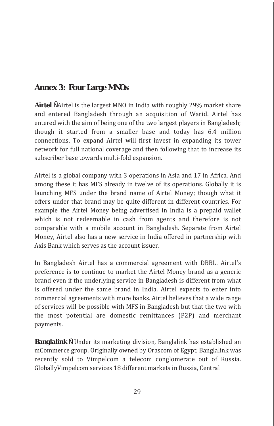#### **Annex 3: Four Large MNOs**

**Airtel** Ñ Airtel is the largest MNO in India with roughly 29% market share and entered Bangladesh through an acquisition of Warid. Airtel has entered with the aim of being one of the two largest players in Bangladesh; though it started from a smaller base and today has 6.4 million connections. To expand Airtel will first invest in expanding its tower network for full national coverage and then following that to increase its subscriber base towards multi-fold expansion.

Airtel is a global company with 3 operations in Asia and 17 in Africa. And among these it has MFS already in twelve of its operations. Globally it is launching MFS under the brand name of Airtel Money; though what it offers under that brand may be quite different in different countries. For example the Airtel Money being advertised in India is a prepaid wallet which is not redeemable in cash from agents and therefore is not comparable with a mobile account in Bangladesh. Separate from Airtel Money, Airtel also has a new service in India offered in partnership with Axis Bank which serves as the account issuer.

In Bangladesh Airtel has a commercial agreement with DBBL. Airtel's preference is to continue to market the Airtel Money brand as a generic brand even if the underlying service in Bangladesh is different from what is offered under the same brand in India. Airtel expects to enter into commercial agreements with more banks. Airtel believes that a wide range of services will be possible with MFS in Bangladesh but that the two with the most potential are domestic remittances (P2P) and merchant payments.

*Banglalink* Ñ Under its marketing division, Banglalink has established an mCommerce group. Originally owned by Orascom of Egypt, Banglalink was recently sold to Vimpelcom a telecom conglomerate out of Russia. GloballyVimpelcom services 18 different markets in Russia, Central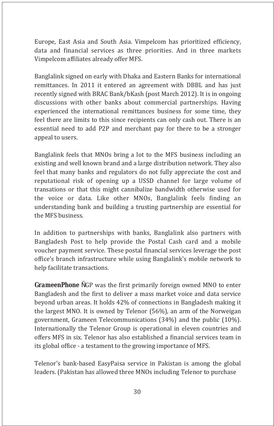Europe, East Asia and South Asia. Vimpelcom has prioritized efficiency, data and financial services as three priorities. And in three markets Vimpelcom affiliates already offer MFS.

Banglalink signed on early with Dhaka and Eastern Banks for international remittances. In 2011 it entered an agreement with DBBL and has just recently signed with BRAC Bank/bKash (post March 2012). It is in ongoing discussions with other banks about commercial partnerships. Having experienced the international remittances business for some time, they feel there are limits to this since recipients can only cash out. There is an essential need to add P2P and merchant pay for there to be a stronger appeal to users.

Banglalink feels that MNOs bring a lot to the MFS business including an existing and well known brand and a large distribution network. They also feel that many banks and regulators do not fully appreciate the cost and reputational risk of opening up a USSD channel for large volume of transations or that this might cannibalize bandwidth otherwise used for the voice or data. Like other MNOs, Banglalink feels finding an understanding bank and building a trusting partnership are essential for the MFS business.

In addition to partnerships with banks, Banglalink also partners with Bangladesh Post to help provide the Postal Cash card and a mobile voucher payment service. These postal financial services leverage the post office's branch infrastructure while using Banglalink's mobile network to help facilitate transactions.

*GrameenPhone* NGP was the first primarily foreign owned MNO to enter Bangladesh and the first to deliver a mass market voice and data service beyond urban areas. It holds 42% of connections in Bangladesh making it the largest MNO. It is owned by Telenor (56%), an arm of the Norweigan government, Grameen Telecommunications (34%) and the public (10%). Internationally the Telenor Group is operational in eleven countries and offers MFS in six. Telenor has also established a financial services team in its global office - a testament to the growing importance of MFS.

Telenor's bank-based EasyPaisa service in Pakistan is among the global leaders. (Pakistan has allowed three MNOs including Telenor to purchase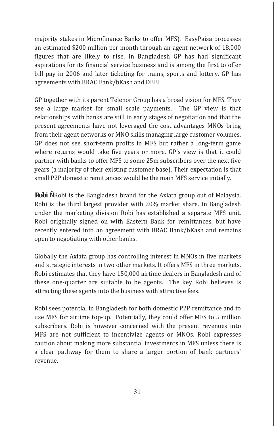majority stakes in Microfinance Banks to offer MFS). EasyPaisa processes an estimated \$200 million per month through an agent network of 18,000 figures that are likely to rise. In Bangladesh GP has had significant aspirations for its financial service business and is among the first to offer bill pay in 2006 and later ticketing for trains, sports and lottery. GP has agreements with BRAC Bank/bKash and DBBL.

GP together with its parent Telenor Group has a broad vision for MFS. They see a large market for small scale payments. The GP view is that relationships with banks are still in early stages of negotiation and that the present agreements have not leveraged the cost advantages MNOs bring from their agent networks or MNO skills managing large customer volumes. GP does not see short-term profits in MFS but rather a long-term game where returns would take five years or more. GP's view is that it could partner with banks to offer MFS to some 25m subscribers over the next five years (a majority of their existing customer base). Their expectation is that small P2P domestic remittances would be the main MFS service initially.

*Robi* Ñ Robi is the Bangladesh brand for the Axiata group out of Malaysia. Robi is the third largest provider with 20% market share. In Bangladesh under the marketing division Robi has established a separate MFS unit. Robi originally signed on with Eastern Bank for remittances, but have recently entered into an agreement with BRAC Bank/bKash and remains open to negotiating with other banks.

Globally the Axiata group has controlling interest in MNOs in five markets and strategic interests in two other markets. It offers MFS in three markets. Robi estimates that they have 150,000 airtime dealers in Bangladesh and of these one-quarter are suitable to be agents. The key Robi believes is attracting these agents into the business with attractive fees.

Robi sees potential in Bangladesh for both domestic P2P remittance and to use MFS for airtime top-up. Potentially, they could offer MFS to 5 million subscribers. Robi is however concerned with the present revenues into MFS are not sufficient to incentivize agents or MNOs. Robi expresses caution about making more substantial investments in MFS unless there is a clear pathway for them to share a larger portion of bank partners' revenue.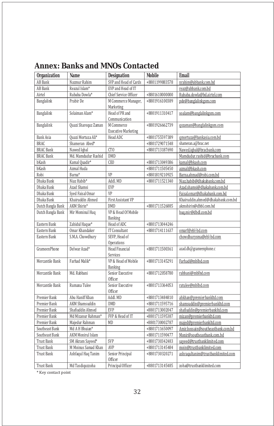|  |  |  |  | <b>Annex: Banks and MNOs Contacted</b> |
|--|--|--|--|----------------------------------------|
|--|--|--|--|----------------------------------------|

| <b>Organization</b> | <b>Name</b>              | <b>Designation</b>                       | <b>Mobile</b>  | <b>Email</b>                       |
|---------------------|--------------------------|------------------------------------------|----------------|------------------------------------|
| <b>AB</b> Bank      | Nazmur Rahim             | SVP and Head of Cards                    | +8801199883578 | nrahim@abbank.com.bd               |
| <b>AB</b> Bank      | Reazul Islam*            | EVP and Head of IT                       |                | reaz@abbank.com.bd                 |
| Airtel              | Rubaba Dowla*            | Chief Service Officer                    | +8801610000000 | Rubaba.dowla@bd.airtel.com         |
| Banglalink          | Prabir De                | M Commerce Manager,<br>Marketing         | +8801916100389 | pde@banglalinkgsm.com              |
| Banglalink          | Solaiman Alam*           | Head of PR and<br>Communication          | +8801911310417 | soalam@banglalinkgsm.com           |
| Banglalink          | Quazi Sharequz Zaman     | M Commerce<br><b>Executive Marketing</b> | +8801926662739 | gszaman@banglalinkgsm.com          |
| <b>Bank Asia</b>    | Quazi Mortuza Ali*       | Head ADC                                 | +8801755597389 | qmortuza@bankasia.com.bd           |
| <b>BRAC</b>         | Shameran Abed*           |                                          | +8801729071548 | shameran.a@brac.net                |
| <b>BRAC Bank</b>    | Nawed Iqbal              | CT <sub>0</sub>                          | +8801713187690 | Nawed.iqbal@bracbank.com           |
| <b>BRAC Bank</b>    | Md. Mamdudur Rashid      | <b>DMD</b>                               |                | Mamdudur.rashid@bracbank.com       |
| bKash               | Kamal Quadir*            | CE <sub>0</sub>                          | +8801713049386 | kamal@bkash.com                    |
| bKash               | Azmal Huda               |                                          | +8801711505450 | azmal@bkash.com                    |
| Robi                | Barna*                   | VP                                       | +8801819210925 | Barna.ahmad@robi.com.bd            |
| Dhaka Bank          | Niaz Habib*              | Addl. MD                                 | +8801711521340 | Niaz.habib@dhakabank.com.bd        |
| Dhaka Bank          | Azad Shamsi              | EVP                                      |                | Azad.shamsi@dhakabank.com.bd       |
| Dhaka Bank          | Sved Faisal Omar         | VP                                       |                | Faisal.omar@dhakabank.com.bd       |
| Dhaka Bank          | Khairuddin Ahmed         | <b>First Assistant VP</b>                |                | Khairuddin.ahmed@dhakabank.com.bd  |
| Dutch Bangla Bank   | AKM Shirin*              | DMD                                      | +8801711526885 | akmshirin@dbbl.com.bd              |
| Dutch Bangla Bank   | Mir Mominul Huq          | VP & Head Of Mobile<br><b>Banking</b>    |                | hug.mir@dbdl.com.bd                |
| Eastern Bank        | Zahidul Haque*           | Head of ADC                              | +8801713044246 |                                    |
| Eastern Bank        | Omar Khandaker           | <b>IT Consultant</b>                     | +8801714111637 | omarf@ebl-bd.com                   |
| Eastern Bank        | S.M.A. Chowdhury         | SEVP, Head of<br>Operations              |                | chowdhurysma@ebl-bd.com            |
| <b>GrameenPhone</b> | Delwar Azad*             | Head Financial<br>Services               | +8801711500361 | azad.dh@grameenphone.c             |
| Mercantile Bank     | Farhad Malik*            | VP & Head of Mobile<br>Banking           | +8801713145291 | Farhad@mblbd.com                   |
| Mercantile Bank     | Md. Rabbani              | Senior Executive<br>Officer              | +8801712058780 | rabbani@mblbd.com                  |
| Mercantile Bank     | Rumana Tulee             | Senior Executive<br>Officer              | +8801713364053 | ratulee@mblbd.com                  |
| Premier Bank        | Abu Haniff Khan          | Addl. MD                                 | +8801713484810 | ahkhan@premierbankltd.com          |
| Premier Bank        | <b>AKM</b> Shamsuddin    | DMD                                      | +8801711595716 | shamsuddin@premierbankltd.com      |
| Premier Bank        | Shafiuddin Ahmed         | <b>EVP</b>                               | +8801713002047 | shafiuddin@premierbankltd.com      |
| Premier Bank        | Md Mizanur Rahman*       | FVP & Head of IT                         | +8801711595387 | mizan@premierbankltd.com           |
| Premier Bank        | Majedur Rahman           | MD                                       | +8801730002787 | majed@premierbankltd.com           |
| Southeast Bank      | Md A H Bhuian*           |                                          | +8801711650097 | Amir.hossain@southeastbank.com.bd  |
| Southeast Bank      | <b>AKM Monirul Islam</b> |                                          | +8801711590477 | Monir@southeastbank.com.bd         |
| <b>Trust Bank</b>   | SM Akram Sayeed*         | SVP                                      | +8801730342483 | sayeed@trustbanklimited.com        |
| <b>Trust Bank</b>   | M Moinus Samad Khan      | AVP                                      | +8801713145484 | moin@trustbanklimited.com          |
| <b>Trust Bank</b>   | Ashfaqul Haq Tanim       | Senior Principal<br>Officer              | +8801730320271 | ashraqultanim@trustbanklimited.com |
| <b>Trust Bank</b>   | Md Tasdiguzzoha          | Principal Officer                        | +8801713145485 | zoha@trustbanklimited.com          |

 $^\ast$  Key contact point